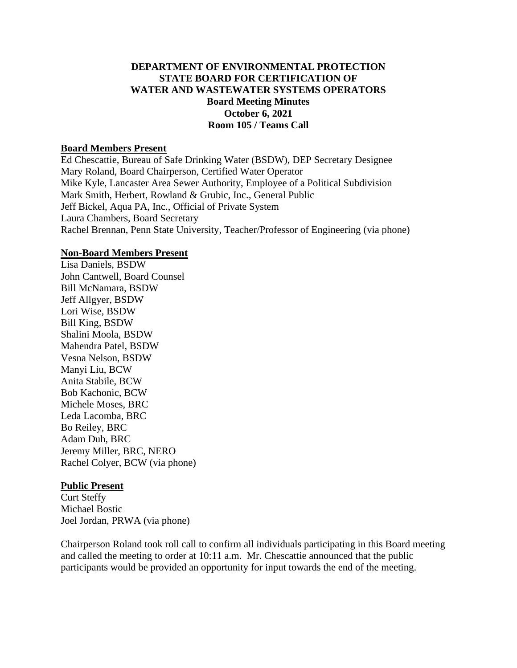## **DEPARTMENT OF ENVIRONMENTAL PROTECTION STATE BOARD FOR CERTIFICATION OF WATER AND WASTEWATER SYSTEMS OPERATORS Board Meeting Minutes October 6, 2021 Room 105 / Teams Call**

#### **Board Members Present**

Ed Chescattie, Bureau of Safe Drinking Water (BSDW), DEP Secretary Designee Mary Roland, Board Chairperson, Certified Water Operator Mike Kyle, Lancaster Area Sewer Authority, Employee of a Political Subdivision Mark Smith, Herbert, Rowland & Grubic, Inc., General Public Jeff Bickel, Aqua PA, Inc., Official of Private System Laura Chambers, Board Secretary Rachel Brennan, Penn State University, Teacher/Professor of Engineering (via phone)

#### **Non-Board Members Present**

Lisa Daniels, BSDW John Cantwell, Board Counsel Bill McNamara, BSDW Jeff Allgyer, BSDW Lori Wise, BSDW Bill King, BSDW Shalini Moola, BSDW Mahendra Patel, BSDW Vesna Nelson, BSDW Manyi Liu, BCW Anita Stabile, BCW Bob Kachonic, BCW Michele Moses, BRC Leda Lacomba, BRC Bo Reiley, BRC Adam Duh, BRC Jeremy Miller, BRC, NERO Rachel Colyer, BCW (via phone)

#### **Public Present**

Curt Steffy Michael Bostic Joel Jordan, PRWA (via phone)

Chairperson Roland took roll call to confirm all individuals participating in this Board meeting and called the meeting to order at 10:11 a.m. Mr. Chescattie announced that the public participants would be provided an opportunity for input towards the end of the meeting.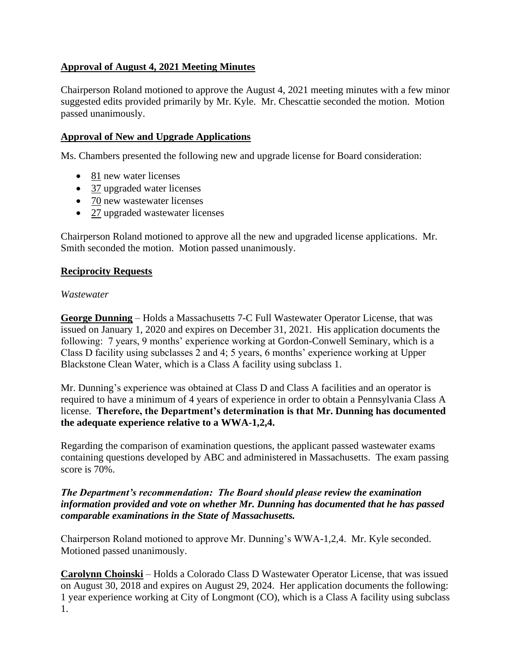# **Approval of August 4, 2021 Meeting Minutes**

Chairperson Roland motioned to approve the August 4, 2021 meeting minutes with a few minor suggested edits provided primarily by Mr. Kyle. Mr. Chescattie seconded the motion. Motion passed unanimously.

# **Approval of New and Upgrade Applications**

Ms. Chambers presented the following new and upgrade license for Board consideration:

- 81 new water licenses
- 37 upgraded water licenses
- 70 new wastewater licenses
- 27 upgraded wastewater licenses

Chairperson Roland motioned to approve all the new and upgraded license applications. Mr. Smith seconded the motion. Motion passed unanimously.

## **Reciprocity Requests**

#### *Wastewater*

**George Dunning** – Holds a Massachusetts 7-C Full Wastewater Operator License, that was issued on January 1, 2020 and expires on December 31, 2021. His application documents the following: 7 years, 9 months' experience working at Gordon-Conwell Seminary, which is a Class D facility using subclasses 2 and 4; 5 years, 6 months' experience working at Upper Blackstone Clean Water, which is a Class A facility using subclass 1.

Mr. Dunning's experience was obtained at Class D and Class A facilities and an operator is required to have a minimum of 4 years of experience in order to obtain a Pennsylvania Class A license. **Therefore, the Department's determination is that Mr. Dunning has documented the adequate experience relative to a WWA-1,2,4.**

Regarding the comparison of examination questions, the applicant passed wastewater exams containing questions developed by ABC and administered in Massachusetts. The exam passing score is 70%.

#### *The Department's recommendation: The Board should please review the examination information provided and vote on whether Mr. Dunning has documented that he has passed comparable examinations in the State of Massachusetts.*

Chairperson Roland motioned to approve Mr. Dunning's WWA-1,2,4. Mr. Kyle seconded. Motioned passed unanimously.

**Carolynn Choinski** – Holds a Colorado Class D Wastewater Operator License, that was issued on August 30, 2018 and expires on August 29, 2024. Her application documents the following: 1 year experience working at City of Longmont (CO), which is a Class A facility using subclass 1.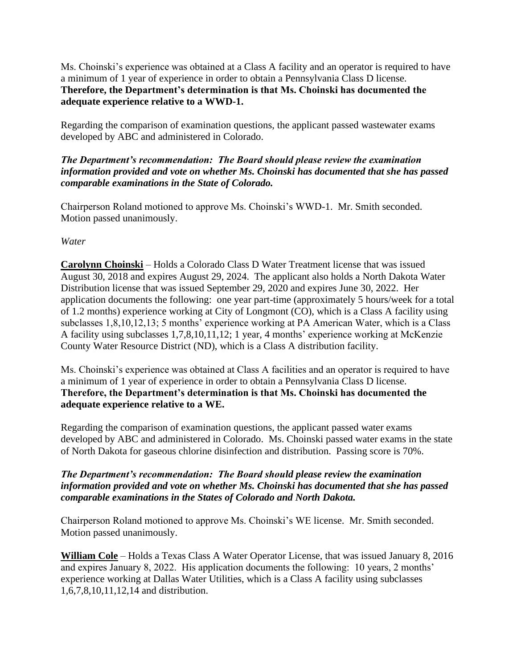Ms. Choinski's experience was obtained at a Class A facility and an operator is required to have a minimum of 1 year of experience in order to obtain a Pennsylvania Class D license. **Therefore, the Department's determination is that Ms. Choinski has documented the adequate experience relative to a WWD-1.**

Regarding the comparison of examination questions, the applicant passed wastewater exams developed by ABC and administered in Colorado.

# *The Department's recommendation: The Board should please review the examination information provided and vote on whether Ms. Choinski has documented that she has passed comparable examinations in the State of Colorado.*

Chairperson Roland motioned to approve Ms. Choinski's WWD-1. Mr. Smith seconded. Motion passed unanimously.

*Water*

**Carolynn Choinski** – Holds a Colorado Class D Water Treatment license that was issued August 30, 2018 and expires August 29, 2024. The applicant also holds a North Dakota Water Distribution license that was issued September 29, 2020 and expires June 30, 2022. Her application documents the following: one year part-time (approximately 5 hours/week for a total of 1.2 months) experience working at City of Longmont (CO), which is a Class A facility using subclasses 1,8,10,12,13; 5 months' experience working at PA American Water, which is a Class A facility using subclasses 1,7,8,10,11,12; 1 year, 4 months' experience working at McKenzie County Water Resource District (ND), which is a Class A distribution facility.

Ms. Choinski's experience was obtained at Class A facilities and an operator is required to have a minimum of 1 year of experience in order to obtain a Pennsylvania Class D license. **Therefore, the Department's determination is that Ms. Choinski has documented the adequate experience relative to a WE.**

Regarding the comparison of examination questions, the applicant passed water exams developed by ABC and administered in Colorado. Ms. Choinski passed water exams in the state of North Dakota for gaseous chlorine disinfection and distribution. Passing score is 70%.

## *The Department's recommendation: The Board should please review the examination information provided and vote on whether Ms. Choinski has documented that she has passed comparable examinations in the States of Colorado and North Dakota.*

Chairperson Roland motioned to approve Ms. Choinski's WE license. Mr. Smith seconded. Motion passed unanimously.

**William Cole** – Holds a Texas Class A Water Operator License, that was issued January 8, 2016 and expires January 8, 2022. His application documents the following: 10 years, 2 months' experience working at Dallas Water Utilities, which is a Class A facility using subclasses 1,6,7,8,10,11,12,14 and distribution.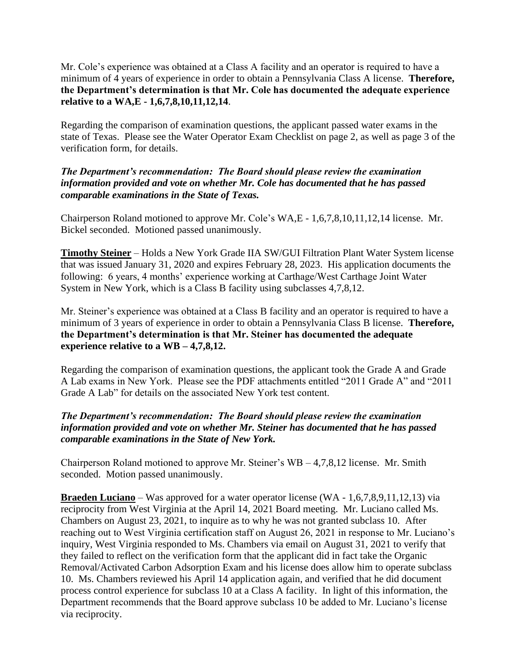Mr. Cole's experience was obtained at a Class A facility and an operator is required to have a minimum of 4 years of experience in order to obtain a Pennsylvania Class A license. **Therefore, the Department's determination is that Mr. Cole has documented the adequate experience relative to a WA,E - 1,6,7,8,10,11,12,14**.

Regarding the comparison of examination questions, the applicant passed water exams in the state of Texas. Please see the Water Operator Exam Checklist on page 2, as well as page 3 of the verification form, for details.

#### *The Department's recommendation: The Board should please review the examination information provided and vote on whether Mr. Cole has documented that he has passed comparable examinations in the State of Texas.*

Chairperson Roland motioned to approve Mr. Cole's WA,E - 1,6,7,8,10,11,12,14 license. Mr. Bickel seconded. Motioned passed unanimously.

**Timothy Steiner** – Holds a New York Grade IIA SW/GUI Filtration Plant Water System license that was issued January 31, 2020 and expires February 28, 2023. His application documents the following: 6 years, 4 months' experience working at Carthage/West Carthage Joint Water System in New York, which is a Class B facility using subclasses 4,7,8,12.

Mr. Steiner's experience was obtained at a Class B facility and an operator is required to have a minimum of 3 years of experience in order to obtain a Pennsylvania Class B license. **Therefore, the Department's determination is that Mr. Steiner has documented the adequate experience relative to a WB – 4,7,8,12.**

Regarding the comparison of examination questions, the applicant took the Grade A and Grade A Lab exams in New York. Please see the PDF attachments entitled "2011 Grade A" and "2011 Grade A Lab" for details on the associated New York test content.

## *The Department's recommendation: The Board should please review the examination information provided and vote on whether Mr. Steiner has documented that he has passed comparable examinations in the State of New York.*

Chairperson Roland motioned to approve Mr. Steiner's WB – 4,7,8,12 license. Mr. Smith seconded. Motion passed unanimously.

**Braeden Luciano** – Was approved for a water operator license (WA - 1,6,7,8,9,11,12,13) via reciprocity from West Virginia at the April 14, 2021 Board meeting. Mr. Luciano called Ms. Chambers on August 23, 2021, to inquire as to why he was not granted subclass 10. After reaching out to West Virginia certification staff on August 26, 2021 in response to Mr. Luciano's inquiry, West Virginia responded to Ms. Chambers via email on August 31, 2021 to verify that they failed to reflect on the verification form that the applicant did in fact take the Organic Removal/Activated Carbon Adsorption Exam and his license does allow him to operate subclass 10. Ms. Chambers reviewed his April 14 application again, and verified that he did document process control experience for subclass 10 at a Class A facility. In light of this information, the Department recommends that the Board approve subclass 10 be added to Mr. Luciano's license via reciprocity.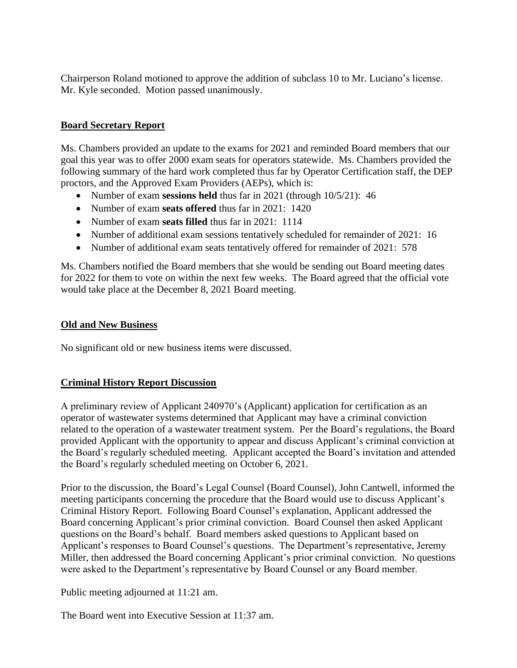Chairperson Roland motioned to approve the addition of subclass 10 to Mr. Luciano's license. Mr. Kyle seconded. Motion passed unanimously.

# **Board Secretary Report**

Ms. Chambers provided an update to the exams for 2021 and reminded Board members that our goal this year was to offer 2000 exam seats for operators statewide. Ms. Chambers provided the following summary of the hard work completed thus far by Operator Certification staff, the DEP proctors, and the Approved Exam Providers (AEPs), which is:

- Number of exam **sessions held** thus far in 2021 (through 10/5/21): 46
- Number of exam **seats offered** thus far in 2021: 1420
- Number of exam **seats filled** thus far in 2021: 1114
- Number of additional exam sessions tentatively scheduled for remainder of 2021: 16
- Number of additional exam seats tentatively offered for remainder of 2021: 578

Ms. Chambers notified the Board members that she would be sending out Board meeting dates for 2022 for them to vote on within the next few weeks. The Board agreed that the official vote would take place at the December 8, 2021 Board meeting.

## **Old and New Business**

No significant old or new business items were discussed.

## **Criminal History Report Discussion**

A preliminary review of Applicant 240970's (Applicant) application for certification as an operator of wastewater systems determined that Applicant may have a criminal conviction related to the operation of a wastewater treatment system. Per the Board's regulations, the Board provided Applicant with the opportunity to appear and discuss Applicant's criminal conviction at the Board's regularly scheduled meeting. Applicant accepted the Board's invitation and attended the Board's regularly scheduled meeting on October 6, 2021.

Prior to the discussion, the Board's Legal Counsel (Board Counsel), John Cantwell, informed the meeting participants concerning the procedure that the Board would use to discuss Applicant's Criminal History Report. Following Board Counsel's explanation, Applicant addressed the Board concerning Applicant's prior criminal conviction. Board Counsel then asked Applicant questions on the Board's behalf. Board members asked questions to Applicant based on Applicant's responses to Board Counsel's questions. The Department's representative, Jeremy Miller, then addressed the Board concerning Applicant's prior criminal conviction. No questions were asked to the Department's representative by Board Counsel or any Board member.

Public meeting adjourned at 11:21 am.

The Board went into Executive Session at 11:37 am.